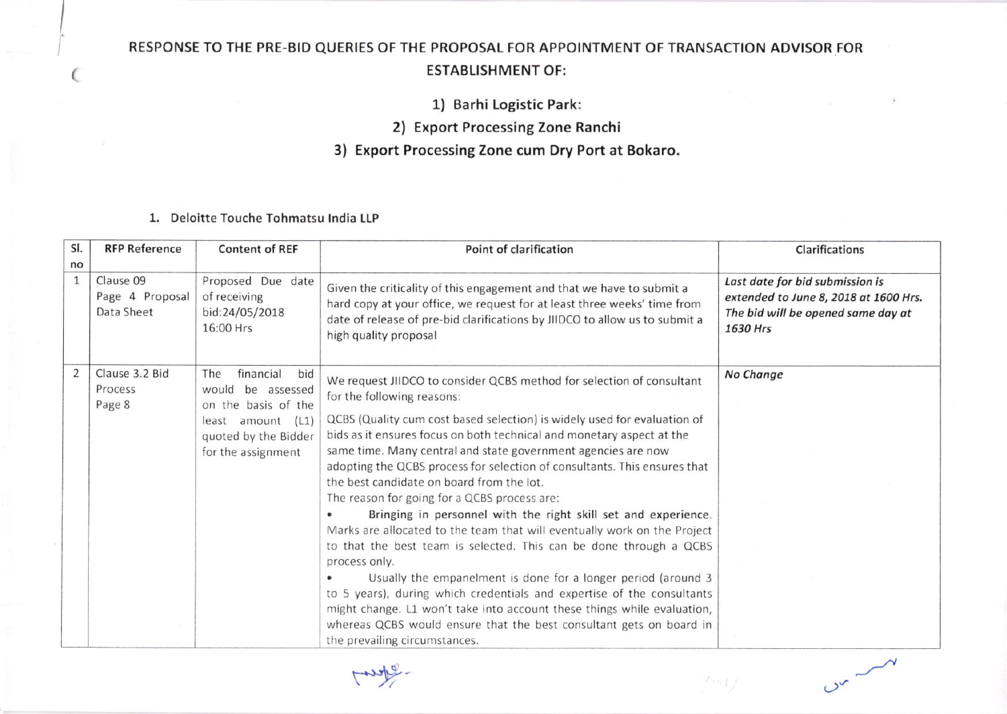## RESPONSE TO THE PRE-BID QUERIES OF THE PROPOSAL FOR APPOINTMENT OF TRANSACTION ADVISOR FOR ESTABLISHMENT OF;

1) Barhi Logistic Parki

2) Export Processing zone Ranchi

3) Export Processing Zone cum Dry Port at Bokaro.

1. Deloitte Touche Tohmatsu lndia ILP

(

| SI.                | <b>RFP Reference</b>                       | <b>Content of REF</b>                                                                                                                  | Point of clarification                                                                                                                                                                                                                                                                                                                                                                                                                                                                                                                                                                                                                                                                                                                                                                                                                                                                                                                                                                                                                                                 | Clarifications                                                                                                             |
|--------------------|--------------------------------------------|----------------------------------------------------------------------------------------------------------------------------------------|------------------------------------------------------------------------------------------------------------------------------------------------------------------------------------------------------------------------------------------------------------------------------------------------------------------------------------------------------------------------------------------------------------------------------------------------------------------------------------------------------------------------------------------------------------------------------------------------------------------------------------------------------------------------------------------------------------------------------------------------------------------------------------------------------------------------------------------------------------------------------------------------------------------------------------------------------------------------------------------------------------------------------------------------------------------------|----------------------------------------------------------------------------------------------------------------------------|
| no<br>$\mathbf{1}$ | Clause 09<br>Page 4 Proposal<br>Data Sheet | Proposed Due date<br>of receiving<br>bid:24/05/2018<br>16:00 Hrs                                                                       | Given the criticality of this engagement and that we have to submit a<br>hard copy at your office, we request for at least three weeks' time from<br>date of release of pre-bid clarifications by JIIDCO to allow us to submit a<br>high quality proposal                                                                                                                                                                                                                                                                                                                                                                                                                                                                                                                                                                                                                                                                                                                                                                                                              | Last date for bid submission is<br>extended to June 8, 2018 at 1600 Hrs.<br>The bid will be opened same day at<br>1630 Hrs |
| $\overline{2}$     | Clause 3.2 Bid<br>Process<br>Page 8        | financial<br>bid<br>The<br>would be assessed<br>on the basis of the<br>least amount (L1)<br>quoted by the Bidder<br>for the assignment | We request JIIDCO to consider QCBS method for selection of consultant<br>for the following reasons:<br>QCBS (Quality cum cost based selection) is widely used for evaluation of<br>bids as it ensures focus on both technical and monetary aspect at the<br>same time. Many central and state government agencies are now<br>adopting the QCBS process for selection of consultants. This ensures that<br>the best candidate on board from the lot.<br>The reason for going for a QCBS process are:<br>Bringing in personnel with the right skill set and experience.<br>Marks are allocated to the team that will eventually work on the Project<br>to that the best team is selected. This can be done through a QCBS<br>process only.<br>Usually the empanelment is done for a longer period (around 3<br>to 5 years), during which credentials and expertise of the consultants<br>might change. L1 won't take into account these things while evaluation,<br>whereas QCBS would ensure that the best consultant gets on board in<br>the prevailing circumstances. | No Change                                                                                                                  |

 $\sim$   $\sim$   $\sim$ 

 $(1, 1)$ 

ready.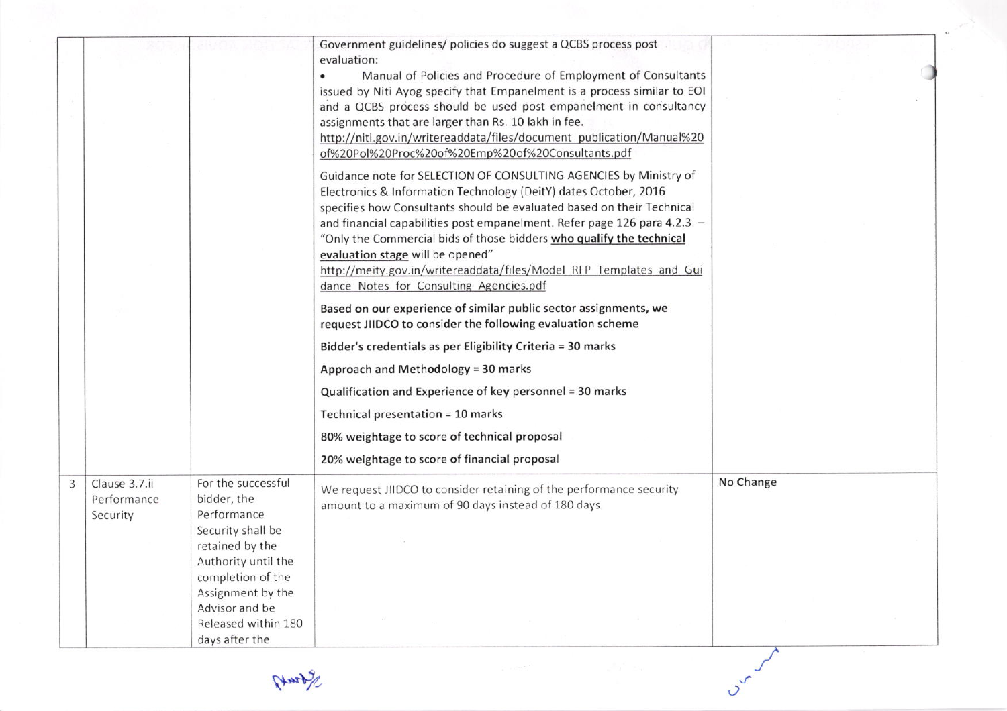|   |                                          |                                                                                                                                                                                                                      | Government guidelines/ policies do suggest a QCBS process post<br>evaluation:<br>Manual of Policies and Procedure of Employment of Consultants<br>issued by Niti Ayog specify that Empanelment is a process similar to EOI<br>and a QCBS process should be used post empanelment in consultancy<br>assignments that are larger than Rs. 10 lakh in fee.<br>http://niti.gov.in/writereaddata/files/document_publication/Manual%20<br>of%20Pol%20Proc%20of%20Emp%20of%20Consultants.pdf<br>Guidance note for SELECTION OF CONSULTING AGENCIES by Ministry of<br>Electronics & Information Technology (DeitY) dates October, 2016<br>specifies how Consultants should be evaluated based on their Technical<br>and financial capabilities post empanelment. Refer page 126 para 4.2.3. -<br>"Only the Commercial bids of those bidders who qualify the technical<br>evaluation stage will be opened"<br>http://meity.gov.in/writereaddata/files/Model RFP Templates and Gui<br>dance Notes for Consulting Agencies.pdf<br>Based on our experience of similar public sector assignments, we<br>request JIIDCO to consider the following evaluation scheme<br>Bidder's credentials as per Eligibility Criteria = 30 marks<br>Approach and Methodology = 30 marks<br>Qualification and Experience of key personnel = 30 marks<br>Technical presentation = 10 marks<br>80% weightage to score of technical proposal<br>20% weightage to score of financial proposal |           |
|---|------------------------------------------|----------------------------------------------------------------------------------------------------------------------------------------------------------------------------------------------------------------------|--------------------------------------------------------------------------------------------------------------------------------------------------------------------------------------------------------------------------------------------------------------------------------------------------------------------------------------------------------------------------------------------------------------------------------------------------------------------------------------------------------------------------------------------------------------------------------------------------------------------------------------------------------------------------------------------------------------------------------------------------------------------------------------------------------------------------------------------------------------------------------------------------------------------------------------------------------------------------------------------------------------------------------------------------------------------------------------------------------------------------------------------------------------------------------------------------------------------------------------------------------------------------------------------------------------------------------------------------------------------------------------------------------------------------------------------------------------|-----------|
| 3 | Clause 3.7.ii<br>Performance<br>Security | For the successful<br>bidder, the<br>Performance<br>Security shall be<br>retained by the<br>Authority until the<br>completion of the<br>Assignment by the<br>Advisor and be<br>Released within 180<br>days after the | We request JIIDCO to consider retaining of the performance security<br>amount to a maximum of 90 days instead of 180 days.                                                                                                                                                                                                                                                                                                                                                                                                                                                                                                                                                                                                                                                                                                                                                                                                                                                                                                                                                                                                                                                                                                                                                                                                                                                                                                                                   | No Change |

Hurty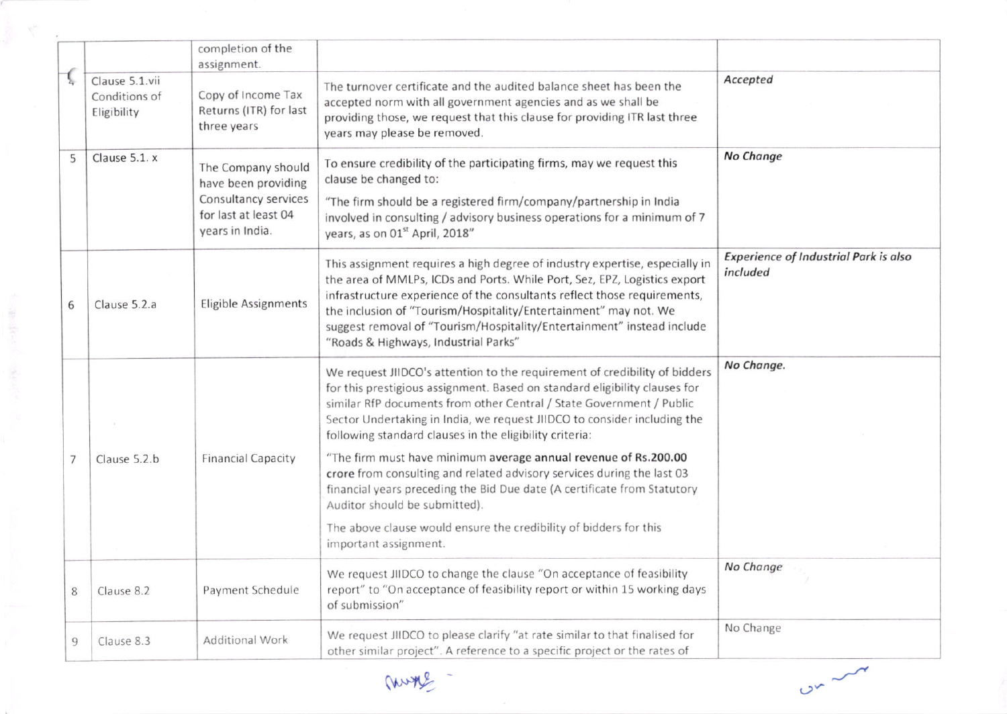|   |                                                | completion of the<br>assignment.                                                                             |                                                                                                                                                                                                                                                                                                                                                                                                                            |                                                          |
|---|------------------------------------------------|--------------------------------------------------------------------------------------------------------------|----------------------------------------------------------------------------------------------------------------------------------------------------------------------------------------------------------------------------------------------------------------------------------------------------------------------------------------------------------------------------------------------------------------------------|----------------------------------------------------------|
|   | Clause 5.1.vii<br>Conditions of<br>Eligibility | Copy of Income Tax<br>Returns (ITR) for last<br>three years                                                  | The turnover certificate and the audited balance sheet has been the<br>accepted norm with all government agencies and as we shall be<br>providing those, we request that this clause for providing ITR last three<br>years may please be removed.                                                                                                                                                                          | Accepted                                                 |
| 5 | Clause 5.1. x                                  | The Company should<br>have been providing<br>Consultancy services<br>for last at least 04<br>years in India. | To ensure credibility of the participating firms, may we request this<br>clause be changed to:<br>"The firm should be a registered firm/company/partnership in India<br>involved in consulting / advisory business operations for a minimum of 7<br>years, as on 01 <sup>st</sup> April, 2018"                                                                                                                             | <b>No Change</b>                                         |
| 6 | Clause 5.2.a                                   | <b>Eligible Assignments</b>                                                                                  | This assignment requires a high degree of industry expertise, especially in<br>the area of MMLPs, ICDs and Ports. While Port, Sez, EPZ, Logistics export<br>infrastructure experience of the consultants reflect those requirements,<br>the inclusion of "Tourism/Hospitality/Entertainment" may not. We<br>suggest removal of "Tourism/Hospitality/Entertainment" instead include<br>"Roads & Highways, Industrial Parks" | <b>Experience of Industrial Park is also</b><br>included |
|   |                                                |                                                                                                              | We request JIIDCO's attention to the requirement of credibility of bidders<br>for this prestigious assignment. Based on standard eligibility clauses for<br>similar RfP documents from other Central / State Government / Public<br>Sector Undertaking in India, we request JIIDCO to consider including the<br>following standard clauses in the eligibility criteria:                                                    | No Change.                                               |
|   | Clause 5.2.b                                   | <b>Financial Capacity</b>                                                                                    | "The firm must have minimum average annual revenue of Rs.200.00<br>crore from consulting and related advisory services during the last 03<br>financial years preceding the Bid Due date (A certificate from Statutory<br>Auditor should be submitted).                                                                                                                                                                     |                                                          |
|   |                                                |                                                                                                              | The above clause would ensure the credibility of bidders for this<br>important assignment.                                                                                                                                                                                                                                                                                                                                 |                                                          |
| 8 | Clause 8.2                                     | Payment Schedule                                                                                             | We request JIIDCO to change the clause "On acceptance of feasibility<br>report" to "On acceptance of feasibility report or within 15 working days<br>of submission"                                                                                                                                                                                                                                                        | No Change                                                |
| 9 | Clause 8.3                                     | <b>Additional Work</b>                                                                                       | We request JIIDCO to please clarify "at rate similar to that finalised for<br>other similar project". A reference to a specific project or the rates of                                                                                                                                                                                                                                                                    | No Change                                                |

mone -